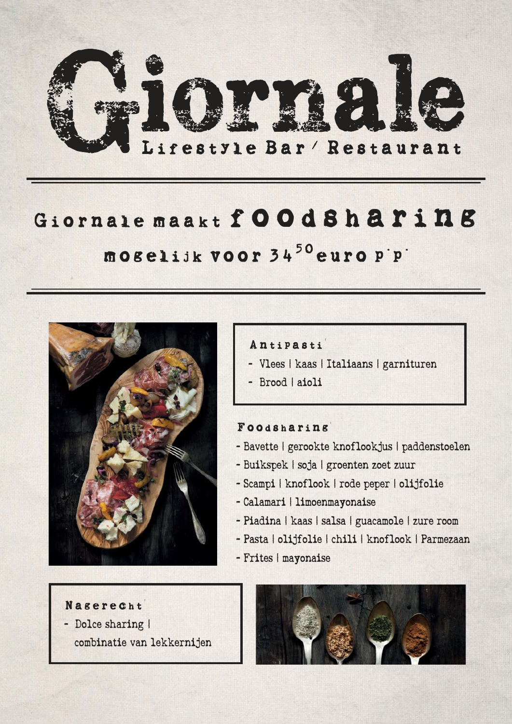

# *Giornale maakt foodsharing mogelijk voor 3450euro p.p.*



*Antipasti:*

- Vlees | kaas | Italiaans | garnituren
- Brood | aioli

#### *Foodsharing:*

- Bavette | gerookte knoflookjus | paddenstoelen
- Buikspek | soja | groenten zoet zuur
- Scampi | knoflook | rode peper | olijfolie
- Calamari | limoenmayonaise
- Piadina | kaas | salsa | guacamole | zure room
- Pasta | olijfolie | chili | knoflook | Parmezaan
- Frites | mayonaise
- *Nagerecht:* - Dolce sharing |
	- combinatie van lekkernijen

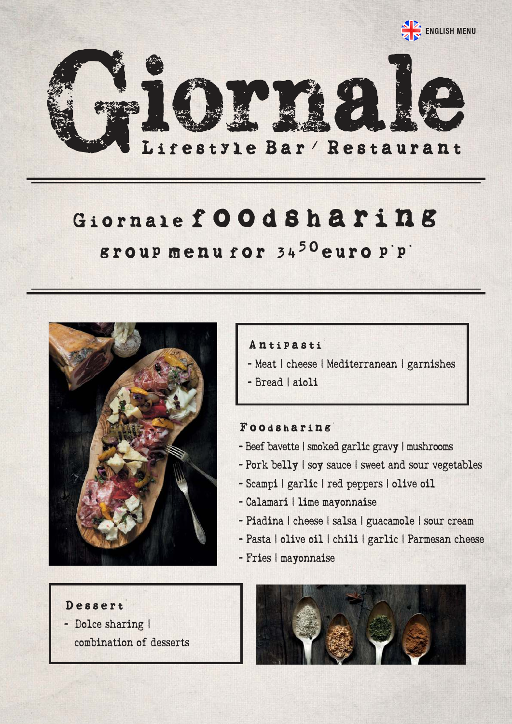

# *Giornalefoodsharing*

### *group menu for 3450euro p.p.*



*Dessert:* - Dolce sharing | combination of desserts

### *Antipasti:*

- Meat | cheese | Mediterranean | garnishes
- Bread | aioli

#### *Foodsharing:*

- Beef bavette | smoked garlic gravy | mushrooms
- Pork belly | soy sauce | sweet and sour vegetables
- Scampi | garlic | red peppers | olive oil
- Calamari | lime mayonnaise
- Piadina | cheese | salsa | guacamole | sour cream
- Pasta | olive oil | chili | garlic | Parmesan cheese
- Fries | mayonnaise

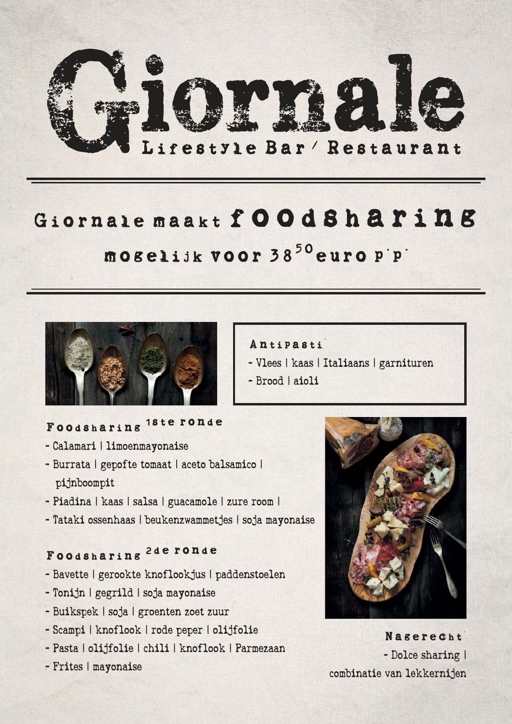

# *Giornale maakt foodsharing mogelijk voor 3850euro p.p.*



## *Foodsharing 1ste ronde*

- Calamari | limoenmayonaise
- Burrata | gepofte tomaat | aceto balsamico | pijnboompit
- Piadina | kaas | salsa | guacamole | zure room |
- Tataki ossenhaas | beukenzwammetjes | soja mayonaise

## *Foodsharing 2de ronde*

- Bavette | gerookte knoflookjus | paddenstoelen
- Tonijn | gegrild | soja mayonaise
- Buikspek | soja | groenten zoet zuur
- Scampi | knoflook | rode peper | olijfolie
- Pasta | olijfolie | chili | knoflook | Parmezaan
- Frites | mayonaise
- *Antipasti:*
- Vlees | kaas | Italiaans | garnituren
- Brood | aioli



*Nagerecht:* - Dolce sharing | combinatie van lekkernijen